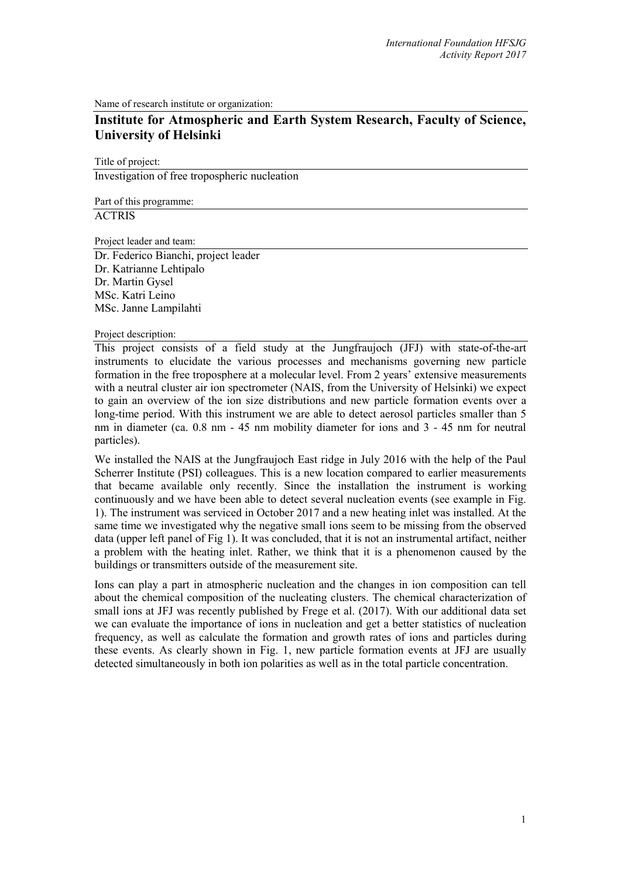Name of research institute or organization:

# **Institute for Atmospheric and Earth System Research, Faculty of Science, University of Helsinki**

Title of project:

Investigation of free tropospheric nucleation

Part of this programme: **ACTRIS** 

Project leader and team:

Dr. Federico Bianchi, project leader Dr. Katrianne Lehtipalo Dr. Martin Gysel MSc. Katri Leino MSc. Janne Lampilahti

Project description:

This project consists of a field study at the Jungfraujoch (JFJ) with state-of-the-art instruments to elucidate the various processes and mechanisms governing new particle formation in the free troposphere at a molecular level. From 2 years' extensive measurements with a neutral cluster air ion spectrometer (NAIS, from the University of Helsinki) we expect to gain an overview of the ion size distributions and new particle formation events over a long-time period. With this instrument we are able to detect aerosol particles smaller than 5 nm in diameter (ca. 0.8 nm - 45 nm mobility diameter for ions and 3 - 45 nm for neutral particles).

We installed the NAIS at the Jungfraujoch East ridge in July 2016 with the help of the Paul Scherrer Institute (PSI) colleagues. This is a new location compared to earlier measurements that became available only recently. Since the installation the instrument is working continuously and we have been able to detect several nucleation events (see example in Fig. 1). The instrument was serviced in October 2017 and a new heating inlet was installed. At the same time we investigated why the negative small ions seem to be missing from the observed data (upper left panel of Fig 1). It was concluded, that it is not an instrumental artifact, neither a problem with the heating inlet. Rather, we think that it is a phenomenon caused by the buildings or transmitters outside of the measurement site.

Ions can play a part in atmospheric nucleation and the changes in ion composition can tell about the chemical composition of the nucleating clusters. The chemical characterization of small ions at JFJ was recently published by Frege et al. (2017). With our additional data set we can evaluate the importance of ions in nucleation and get a better statistics of nucleation frequency, as well as calculate the formation and growth rates of ions and particles during these events. As clearly shown in Fig. 1, new particle formation events at JFJ are usually detected simultaneously in both ion polarities as well as in the total particle concentration.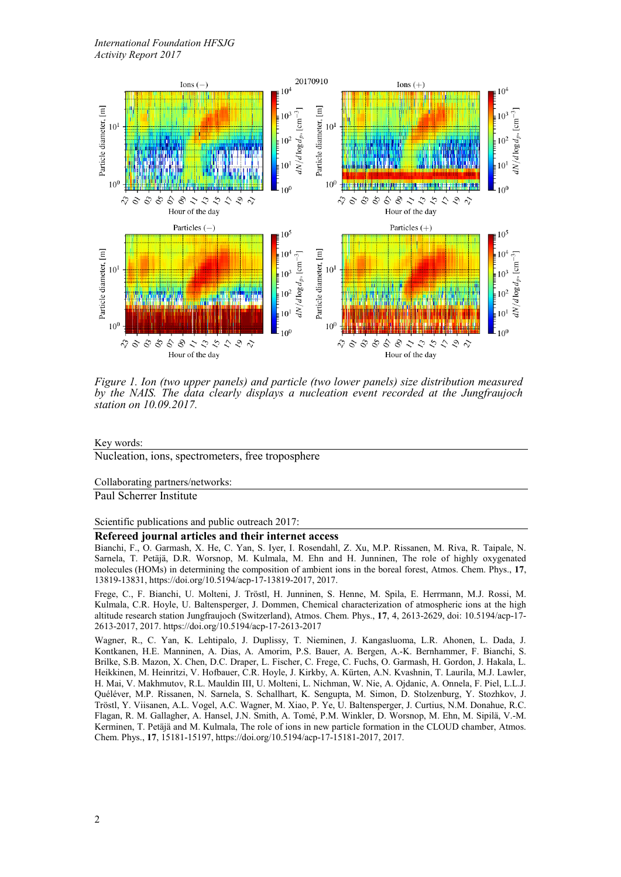

*Figure 1. Ion (two upper panels) and particle (two lower panels) size distribution measured by the NAIS. The data clearly displays a nucleation event recorded at the Jungfraujoch station on 10.09.2017.*

Key words:

Nucleation, ions, spectrometers, free troposphere

Collaborating partners/networks:

Paul Scherrer Institute

Scientific publications and public outreach 2017:

#### **Refereed journal articles and their internet access**

Bianchi, F., O. Garmash, X. He, C. Yan, S. Iyer, I. Rosendahl, Z. Xu, M.P. Rissanen, M. Riva, R. Taipale, N. Sarnela, T. Petäjä, D.R. Worsnop, M. Kulmala, M. Ehn and H. Junninen, The role of highly oxygenated molecules (HOMs) in determining the composition of ambient ions in the boreal forest, Atmos. Chem. Phys., **17**, 13819-13831, https://doi.org/10.5194/acp-17-13819-2017, 2017.

Frege, C., F. Bianchi, U. Molteni, J. Tröstl, H. Junninen, S. Henne, M. Spila, E. Herrmann, M.J. Rossi, M. Kulmala, C.R. Hoyle, U. Baltensperger, J. Dommen, Chemical characterization of atmospheric ions at the high altitude research station Jungfraujoch (Switzerland), Atmos. Chem. Phys., **17**, 4, 2613-2629, doi: 10.5194/acp-17- 2613-2017, 2017. https://doi.org/10.5194/acp-17-2613-2017

Wagner, R., C. Yan, K. Lehtipalo, J. Duplissy, T. Nieminen, J. Kangasluoma, L.R. Ahonen, L. Dada, J. Kontkanen, H.E. Manninen, A. Dias, A. Amorim, P.S. Bauer, A. Bergen, A.-K. Bernhammer, F. Bianchi, S. Brilke, S.B. Mazon, X. Chen, D.C. Draper, L. Fischer, C. Frege, C. Fuchs, O. Garmash, H. Gordon, J. Hakala, L. Heikkinen, M. Heinritzi, V. Hofbauer, C.R. Hoyle, J. Kirkby, A. Kürten, A.N. Kvashnin, T. Laurila, M.J. Lawler, H. Mai, V. Makhmutov, R.L. Mauldin III, U. Molteni, L. Nichman, W. Nie, A. Ojdanic, A. Onnela, F. Piel, L.L.J. Quéléver, M.P. Rissanen, N. Sarnela, S. Schallhart, K. Sengupta, M. Simon, D. Stolzenburg, Y. Stozhkov, J. Tröstl, Y. Viisanen, A.L. Vogel, A.C. Wagner, M. Xiao, P. Ye, U. Baltensperger, J. Curtius, N.M. Donahue, R.C. Flagan, R. M. Gallagher, A. Hansel, J.N. Smith, A. Tomé, P.M. Winkler, D. Worsnop, M. Ehn, M. Sipilä, V.-M. Kerminen, T. Petäjä and M. Kulmala, The role of ions in new particle formation in the CLOUD chamber, Atmos. Chem. Phys., **17**, 15181-15197, https://doi.org/10.5194/acp-17-15181-2017, 2017.